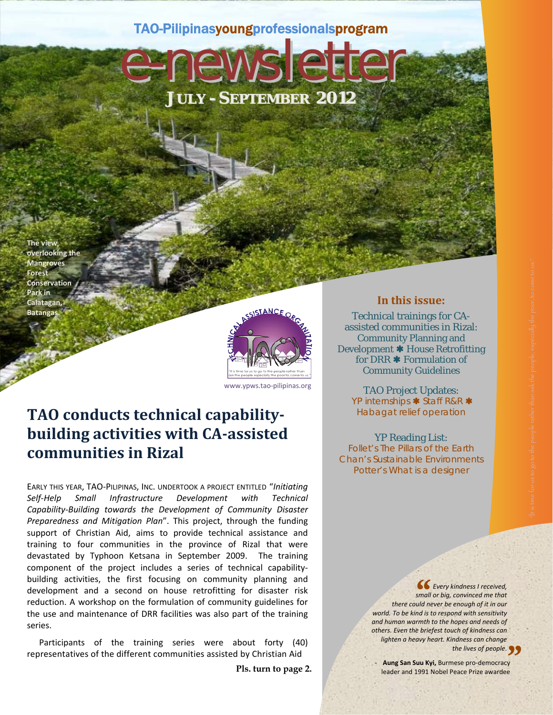## TAO-Pilipinasyoungprofessionalsprogram

**JULY - SEPTEMBER 2012**

e-newslet

**The view overlooking the Mangroves Forest Conservation Park in Calatagan, Batangas.**



www.ypws.tao‐pilipinas.org

# **TAO conducts technical capability‐ building activities with CA‐assisted communities in Rizal**

EARLY THIS YEAR, TAO‐PILIPINAS, INC. UNDERTOOK A PROJECT ENTITLED "*Initiating Self‐Help Small Infrastructure Development with Technical Capability‐Building towards the Development of Community Disaster Preparedness and Mitigation Plan*". This project, through the funding support of Christian Aid, aims to provide technical assistance and training to four communities in the province of Rizal that were devastated by Typhoon Ketsana in September 2009. The training component of the project includes a series of technical capability‐ building activities, the first focusing on community planning and development and a second on house retrofitting for disaster risk reduction. A workshop on the formulation of community guidelines for the use and maintenance of DRR facilities was also part of the training series.

Participants of the training series were about forty (40) representatives of the different communities assisted by Christian Aid

**Pls. turn to page 2.** 

### **In this issue:**

Technical trainings for CAassisted communities in Rizal: Community Planning and Development \* House Retrofitting for DRR  $*$  Formulation of Community Guidelines

TAO Project Updates: YP internships \* Staff R&R \* Habagat relief operation

YP Reading List: Follet's *The Pillars of the Earth*  Chan's *Sustainable Environments Potter's What is a designer* 

> *Every kindness I received, small or big, convinced me that there could never be enough of it in our world. To be kind is to respond with sensitivity and human warmth to the hopes and needs of others. Even the briefest touch of kindness can lighten a heavy heart. Kindness can change*  $66$ <br> $5$   $5$   $5$   $5$   $6$   $6$ <br> $6$   $6$   $7$

**Faous San Suu Kyi,** Burmese pro-democracy<br>→ leader and 1001 Nebel Bases Brize awarded leader and 1991 Nobel Peace Prize awardee *the lives of people.*<br> **ese pro-democracy**<br> **Peace Prize awardee**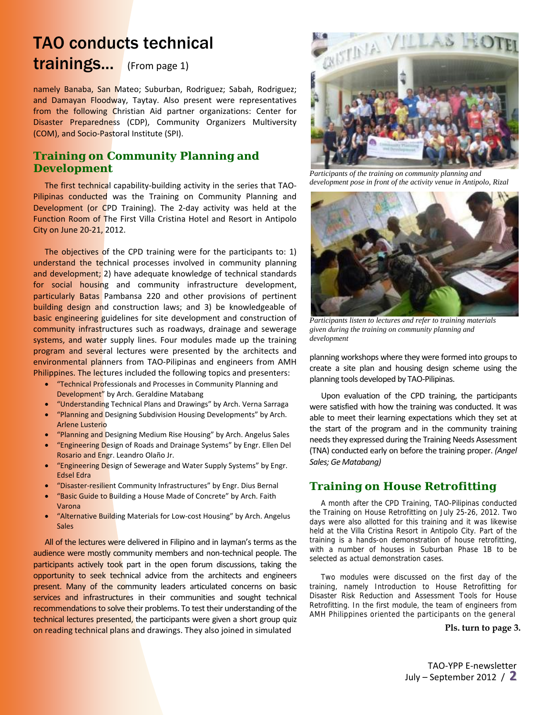# TAO conducts technical trainings... (From page 1)

namely Banaba, San Mateo; Suburban, Rodriguez; Sabah, Rodriguez; and Damayan Floodway, Taytay. Also present were representatives from the following Christian Aid partner organizations: Center for Disaster Preparedness (CDP), Community Organizers Multiversity (COM), and Socio‐Pastoral Institute (SPI).

## **Training on Community Planning and Development**

The first technical capability-building activity in the series that TAO-Pilipinas conducted was the Training on Community Planning and Development (or CPD Training). The 2-day activity was held at the Function Room of The First Villa Cristina Hotel and Resort in Antipolo City on June 20‐21, 2012.

The objectives of the CPD training were for the participants to: 1) understand the technical processes involved in community planning and development; 2) have adequate knowledge of technical standards for social housing and community infrastructure development, particularly Batas Pambansa 220 and other provisions of pertinent building design and construction laws; and 3) be knowledgeable of basic engineering guidelines for site development and construction of community infrastructures such as roadways, drainage and sewerage systems, and water supply lines. Four modules made up the training program and several lectures were presented by the architects and environmental planners from TAO-Pilipinas and engineers from AMH Philippines. The lectures included the following topics and presenters:

- "Technical Professionals and Processes in Community Planning and Development" by Arch. Geraldine Matabang
- "Understanding Technical Plans and Drawings" by Arch. Verna Sarraga
- "Planning and Designing Subdivision Housing Developments" by Arch. Arlene Lusterio
- "Planning and Designing Medium Rise Housing" by Arch. Angelus Sales
- **"Engineering Design of Roads and Drainage Systems" by Engr. Ellen Del** Rosario and Engr. Leandro Olaño Jr.
- "Engineering Design of Sewerage and Water Supply Systems" by Engr. Edsel Edra
- "Disaster‐resilient Community Infrastructures" by Engr. Dius Bernal
- "Basic Guide to Building a House Made of Concrete" by Arch. Faith Varona
- "Alternative Building Materials for Low‐cost Housing" by Arch. Angelus **Sales**

All of the lectures were delivered in Filipino and in layman's terms as the audience were mostly community members and non-technical people. The participants actively took part in the open forum discussions, taking the opportunity to seek technical advice from the architects and engineers present. Many of the community leaders articulated concerns on basic services and infrastructures in their communities and sought technical recommendations to solve their problems. To test their understanding of the technical lectures presented, the participants were given a short group quiz on reading technical plans and drawings. They also joined in simulated



*Participants of the training on community planning and development pose in front of the activity venue in Antipolo, Rizal* 



*Participants listen to lectures and refer to training materials given during the training on community planning and development* 

planning workshops where they were formed into groups to create a site plan and housing design scheme using the planning tools developed by TAO‐Pilipinas.

Upon evaluation of the CPD training, the participants were satisfied with how the training was conducted. It was able to meet their learning expectations which they set at the start of the program and in the community training needs they expressed during the Training Needs Assessment (TNA) conducted early on before the training proper. *(Angel Sales; Ge Matabang)*

### **Training on House Retrofitting**

A month after the CPD Training, TAO-Pilipinas conducted the Training on House Retrofitting on July 25-26, 2012. Two days were also allotted for this training and it was likewise held at the Villa Cristina Resort in Antipolo City. Part of the training is a hands-on demonstration of house retrofitting, with a number of houses in Suburban Phase 1B to be selected as actual demonstration cases.

Two modules were discussed on the first day of the training, namely Introduction to House Retrofitting for Disaster Risk Reduction and Assessment Tools for House Retrofitting. In the first module, the team of engineers from AMH Philippines oriented the participants on the general

#### **Pls. turn to page 3.**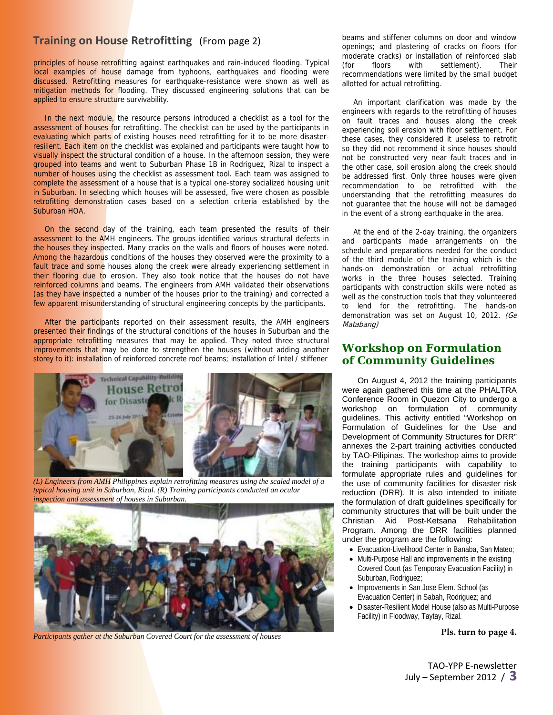### **Training on House Retrofitting** (From page 2)

principles of house retrofitting against earthquakes and rain-induced flooding. Typical local examples of house damage from typhoons, earthquakes and flooding were discussed. Retrofitting measures for earthquake-resistance were shown as well as mitigation methods for flooding. They discussed engineering solutions that can be applied to ensure structure survivability.

In the next module, the resource persons introduced a checklist as a tool for the assessment of houses for retrofitting. The checklist can be used by the participants in evaluating which parts of existing houses need retrofitting for it to be more disasterresilient. Each item on the checklist was explained and participants were taught how to visually inspect the structural condition of a house. In the afternoon session, they were grouped into teams and went to Suburban Phase 1B in Rodriguez, Rizal to inspect a number of houses using the checklist as assessment tool. Each team was assigned to complete the assessment of a house that is a typical one-storey socialized housing unit in Suburban. In selecting which houses will be assessed, five were chosen as possible retrofitting demonstration cases based on a selection criteria established by the Suburban HOA.

On the second day of the training, each team presented the results of their assessment to the AMH engineers. The groups identified various structural defects in the houses they inspected. Many cracks on the walls and floors of houses were noted. Among the hazardous conditions of the houses they observed were the proximity to a fault trace and some houses along the creek were already experiencing settlement in their flooring due to erosion. They also took notice that the houses do not have reinforced columns and beams. The engineers from AMH validated their observations (as they have inspected a number of the houses prior to the training) and corrected a few apparent misunderstanding of structural engineering concepts by the participants.

After the participants reported on their assessment results, the AMH engineers presented their findings of the structural conditions of the houses in Suburban and the appropriate retrofitting measures that may be applied. They noted three structural improvements that may be done to strengthen the houses (without adding another storey to it): installation of reinforced concrete roof beams; installation of lintel / stiffener



*(L) Engineers from AMH Philippines explain retrofitting measures using the scaled model of a typical housing unit in Suburban, Rizal. (R) Training participants conducted an ocular inspection and assessment of houses in Suburban.* 



*Participants gather at the Suburban Covered Court for the assessment of houses* 

beams and stiffener columns on door and window openings; and plastering of cracks on floors (for moderate cracks) or installation of reinforced slab (for floors with settlement). Their recommendations were limited by the small budget allotted for actual retrofitting.

An important clarification was made by the engineers with regards to the retrofitting of houses on fault traces and houses along the creek experiencing soil erosion with floor settlement. For these cases, they considered it useless to retrofit so they did not recommend it since houses should not be constructed very near fault traces and in the other case, soil erosion along the creek should be addressed first. Only three houses were given recommendation to be retrofitted with the understanding that the retrofitting measures do not guarantee that the house will not be damaged in the event of a strong earthquake in the area.

At the end of the 2-day training, the organizers and participants made arrangements on the schedule and preparations needed for the conduct of the third module of the training which is the hands-on demonstration or actual retrofitting works in the three houses selected. Training participants with construction skills were noted as well as the construction tools that they volunteered to lend for the retrofitting. The hands-on demonstration was set on August 10, 2012. (Ge Matabang)

### **Workshop on Formulation of Community Guidelines**

On August 4, 2012 the training participants were again gathered this time at the PHALTRA Conference Room in Quezon City to undergo a workshop on formulation of community guidelines. This activity entitled "Workshop on Formulation of Guidelines for the Use and Development of Community Structures for DRR" annexes the 2-part training activities conducted by TAO-Pilipinas. The workshop aims to provide the training participants with capability to formulate appropriate rules and guidelines for the use of community facilities for disaster risk reduction (DRR). It is also intended to initiate the formulation of draft guidelines specifically for community structures that will be built under the Christian Aid Post-Ketsana Rehabilitation Program. Among the DRR facilities planned under the program are the following:

- Evacuation-Livelihood Center in Banaba, San Mateo;
- Multi-Purpose Hall and improvements in the existing Covered Court (as Temporary Evacuation Facility) in Suburban, Rodriguez;
- Improvements in San Jose Elem. School (as Evacuation Center) in Sabah, Rodriguez; and
- Disaster-Resilient Model House (also as Multi-Purpose Facility) in Floodway, Taytay, Rizal.

**Pls. turn to page 4.**

TAO‐YPP E‐newsletter July – September <sup>2012</sup> / **3**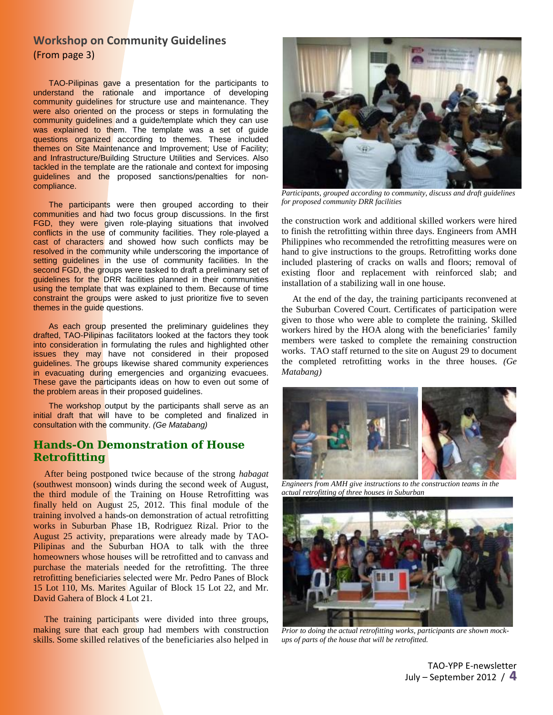### **Workshop on Community Guidelines** (From page 3)

TAO-Pilipinas gave a presentation for the participants to understand the rationale and importance of developing community guidelines for structure use and maintenance. They were also oriented on the process or steps in formulating the community guidelines and a guide/template which they can use was explained to them. The template was a set of guide questions organized according to themes. These included themes on Site Maintenance and Improvement; Use of Facility; and Infrastructure/Building Structure Utilities and Services. Also tackled in the template are the rationale and context for imposing guidelines and the proposed sanctions/penalties for noncompliance.

The participants were then grouped according to their communities and had two focus group discussions. In the first FGD, they were given role-playing situations that involved conflicts in the use of community facilities. They role-played a cast of characters and showed how such conflicts may be resolved in the community while underscoring the importance of setting guidelines in the use of community facilities. In the second FGD, the groups were tasked to draft a preliminary set of guidelines for the DRR facilities planned in their communities using the template that was explained to them. Because of time constraint the groups were asked to just prioritize five to seven themes in the guide questions.

As each group presented the preliminary guidelines they drafted, TAO-Pilipinas facilitators looked at the factors they took into consideration in formulating the rules and highlighted other issues they may have not considered in their proposed guidelines. The groups likewise shared community experiences in evacuating during emergencies and organizing evacuees. These gave the participants ideas on how to even out some of the problem areas in their proposed guidelines.

The workshop output by the participants shall serve as an initial draft that will have to be completed and finalized in consultation with the community. *(Ge Matabang)*

### **Hands-On Demonstration of House Retrofitting**

After being postponed twice because of the strong *habagat* (southwest monsoon) winds during the second week of August, the third module of the Training on House Retrofitting was finally held on August 25, 2012. This final module of the training involved a hands-on demonstration of actual retrofitting works in Suburban Phase 1B, Rodriguez Rizal. Prior to the August 25 activity, preparations were already made by TAO-Pilipinas and the Suburban HOA to talk with the three homeowners whose houses will be retrofitted and to canvass and purchase the materials needed for the retrofitting. The three retrofitting beneficiaries selected were Mr. Pedro Panes of Block 15 Lot 110, Ms. Marites Aguilar of Block 15 Lot 22, and Mr. David Gahera of Block 4 Lot 21.

The training participants were divided into three groups, making sure that each group had members with construction skills. Some skilled relatives of the beneficiaries also helped in



*Participants, grouped according to community, discuss and draft guidelines for proposed community DRR facilities* 

the construction work and additional skilled workers were hired to finish the retrofitting within three days. Engineers from AMH Philippines who recommended the retrofitting measures were on hand to give instructions to the groups. Retrofitting works done included plastering of cracks on walls and floors; removal of existing floor and replacement with reinforced slab; and installation of a stabilizing wall in one house.

At the end of the day, the training participants reconvened at the Suburban Covered Court. Certificates of participation were given to those who were able to complete the training. Skilled workers hired by the HOA along with the beneficiaries' family members were tasked to complete the remaining construction works. TAO staff returned to the site on August 29 to document the completed retrofitting works in the three houses. *(Ge Matabang)*



 *Engineers from AMH give instructions to the construction teams in the actual retrofitting of three houses in Suburban* 



*Prior to doing the actual retrofitting works, participants are shown mockups of parts of the house that will be retrofitted.*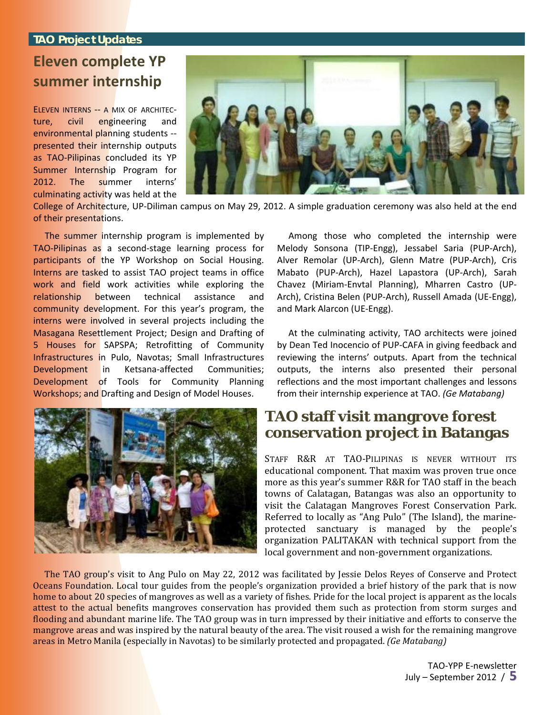### **TAO Project Updates**

## **Eleven complete YP summer internship**

ELEVEN INTERNS -- A MIX OF ARCHITECture, civil engineering and environmental planning students ‐‐ presented their internship outputs as TAO‐Pilipinas concluded its YP Summer Internship Program for 2012. The summer interns' culminating activity was held at the



College of Architecture, UP‐Diliman campus on May 29, 2012. A simple graduation ceremony was also held at the end of their presentations.

The summer internship program is implemented by TAO‐Pilipinas as a second‐stage learning process for participants of the YP Workshop on Social Housing. Interns are tasked to assist TAO project teams in office work and field work activities while exploring the relationship between technical assistance and community development. For this year's program, the interns were involved in several projects including the Masagana Resettlement Project; Design and Drafting of 5 Houses for SAPSPA; Retrofitting of Community Infrastructures in Pulo, Navotas; Small Infrastructures Development in Ketsana‐affected Communities; Development of Tools for Community Planning Workshops; and Drafting and Design of Model Houses.



Among those who completed the internship were Melody Sonsona (TIP‐Engg), Jessabel Saria (PUP‐Arch), Alver Remolar (UP‐Arch), Glenn Matre (PUP‐Arch), Cris Mabato (PUP‐Arch), Hazel Lapastora (UP‐Arch), Sarah Chavez (Miriam‐Envtal Planning), Mharren Castro (UP‐ Arch), Cristina Belen (PUP‐Arch), Russell Amada (UE‐Engg), and Mark Alarcon (UE‐Engg).

At the culminating activity, TAO architects were joined by Dean Ted Inocencio of PUP‐CAFA in giving feedback and reviewing the interns' outputs. Apart from the technical outputs, the interns also presented their personal reflections and the most important challenges and lessons from their internship experience at TAO. *(Ge Matabang)*

## **TAO staff visit mangrove forest conservation project in Batangas**

STAFF R&R AT TAO-PILIPINAS IS NEVER WITHOUT ITS educational component. That maxim was proven true once more as this year's summer R&R for TAO staff in the beach towns of Calatagan, Batangas was also an opportunity to visit the Calatagan Mangroves Forest Conservation Park. Referred to locally as "Ang Pulo" (The Island), the marine‐ protected sanctuary is managed by the people's organization PALITAKAN with technical support from the local government and non‐government organizations.

The TAO group's visit to Ang Pulo on May 22, 2012 was facilitated by Jessie Delos Reyes of Conserve and Protect Oceans Foundation. Local tour guides from the people's organization provided a brief history of the park that is now home to about 20 species of mangroves as well as a variety of fishes. Pride for the local project is apparent as the locals attest to the actual benefits mangroves conservation has provided them such as protection from storm surges and flooding and abundant marine life. The TAO group was in turn impressed by their initiative and efforts to conserve the mangrove areas and was inspired by the natural beauty of the area. The visit roused a wish for the remaining mangrove areas in Metro Manila (especially in Navotas) to be similarly protected and propagated. *(Ge Matabang)*

> TAO‐YPP E‐newsletter July – September <sup>2012</sup> / **5**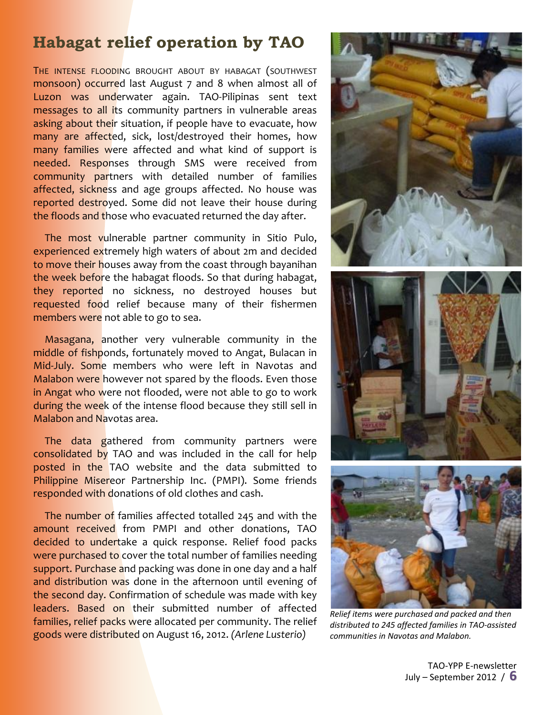# **Habagat relief operation by TAO**

THE INTENSE FLOODING BROUGHT ABOUT BY HABAGAT (SOUTHWEST monsoon) occurred last August 7 and 8 when almost all of Luzon was underwater again. TAO-Pilipinas sent text messages to all its community partners in vulnerable areas asking about their situation, if people have to evacuate, how many are affected, sick, lost/destroyed their homes, how many families were affected and what kind of support is needed. Responses through SMS were received from community partners with detailed number of families affected, sickness and age groups affected. No house was reported destroyed. Some did not leave their house during the floods and those who evacuated returned the day after.

The most vulnerable partner community in Sitio Pulo, experienced extremely high waters of about 2m and decided to move their houses away from the coast through bayanihan the week before the habagat floods. So that during habagat, they reported no sickness, no destroyed houses but requested food relief because many of their fishermen members were not able to go to sea.

Masagana, another very vulnerable community in the middle of fishponds, fortunately moved to Angat, Bulacan in Mid-July. Some members who were left in Navotas and Malabon were however not spared by the floods. Even those in Angat who were not flooded, were not able to go to work during the week of the intense flood because they still sell in Malabon and Navotas area.

The data gathered from community partners were consolidated by TAO and was included in the call for help posted in the TAO website and the data submitted to Philippine Misereor Partnership Inc. (PMPI). Some friends responded with donations of old clothes and cash.

The number of families affected totalled 245 and with the amount received from PMPI and other donations, TAO decided to undertake a quick response. Relief food packs were purchased to cover the total number of families needing support. Purchase and packing was done in one day and a half and distribution was done in the afternoon until evening of the second day. Confirmation of schedule was made with key leaders. Based on their submitted number of affected families, relief packs were allocated per community. The relief goods were distributed on August 16, 2012. *(Arlene Lusterio)*



*Relief items were purchased and packed and then distributed to 245 affected families in TAO‐assisted communities in Navotas and Malabon.*